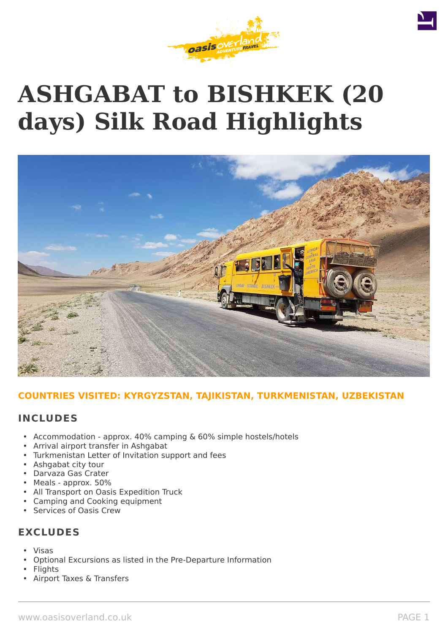# **ASHGABAT to BISHKEK (20 days) Silk Road Highlights**



# **COUNTRIES VISITED: KYRGYZSTAN, TAJIKISTAN, TURKMENISTAN, UZBEKISTAN**

# **INCLUDES**

- Accommodation approx. 40% camping & 60% simple hostels/hotels
- Arrival airport transfer in Ashgabat
- Turkmenistan Letter of Invitation support and fees
- Ashgabat city tour
- Darvaza Gas Crater
- Meals approx. 50%
- All Transport on Oasis Expedition Truck
- Camping and Cooking equipment
- Services of Oasis Crew

# **EXCLUDES**

- Visas
- Optional Excursions as listed in the Pre-Departure Information
- **Flights**
- Airport Taxes & Transfers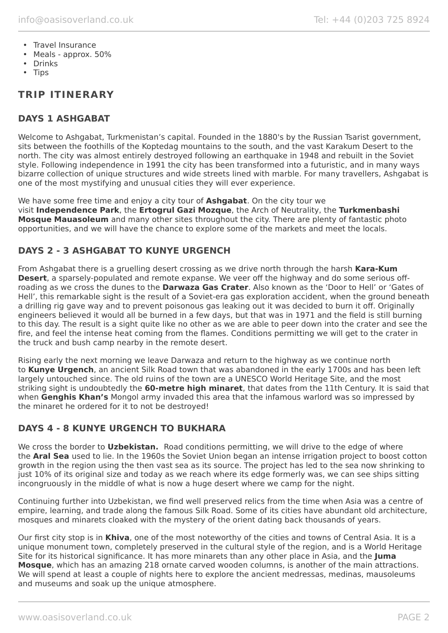- Travel Insurance
- Meals approx. 50%
- Drinks
- Tips

# **TRIP ITINERARY**

# **DAYS 1 ASHGABAT**

Welcome to Ashgabat, Turkmenistan's capital. Founded in the 1880's by the Russian Tsarist government, sits between the foothills of the Koptedag mountains to the south, and the vast Karakum Desert to the north. The city was almost entirely destroyed following an earthquake in 1948 and rebuilt in the Soviet style. Following independence in 1991 the city has been transformed into a futuristic, and in many ways bizarre collection of unique structures and wide streets lined with marble. For many travellers, Ashgabat is one of the most mystifying and unusual cities they will ever experience.

We have some free time and enjoy a city tour of **Ashgabat**. On the city tour we visit **Independence Park**, the **Ertogrul Gazi Mozque**, the Arch of Neutrality, the **Turkmenbashi Mosque Mauasoleum** and many other sites throughout the city. There are plenty of fantastic photo opportunities, and we will have the chance to explore some of the markets and meet the locals.

# **DAYS 2 - 3 ASHGABAT TO KUNYE URGENCH**

From Ashgabat there is a gruelling desert crossing as we drive north through the harsh **Kara-Kum Desert**, a sparsely-populated and remote expanse. We veer off the highway and do some serious offroading as we cross the dunes to the **Darwaza Gas Crater**. Also known as the 'Door to Hell' or 'Gates of Hell', this remarkable sight is the result of a Soviet-era gas exploration accident, when the ground beneath a drilling rig gave way and to prevent poisonous gas leaking out it was decided to burn it off. Originally engineers believed it would all be burned in a few days, but that was in 1971 and the field is still burning to this day. The result is a sight quite like no other as we are able to peer down into the crater and see the fire, and feel the intense heat coming from the flames. Conditions permitting we will get to the crater in the truck and bush camp nearby in the remote desert.

Rising early the next morning we leave Darwaza and return to the highway as we continue north to **Kunye Urgench**, an ancient Silk Road town that was abandoned in the early 1700s and has been left largely untouched since. The old ruins of the town are a UNESCO World Heritage Site, and the most striking sight is undoubtedly the **60-metre high minaret**, that dates from the 11th Century. It is said that when **Genghis Khan's** Mongol army invaded this area that the infamous warlord was so impressed by the minaret he ordered for it to not be destroyed!

# **DAYS 4 - 8 KUNYE URGENCH TO BUKHARA**

We cross the border to **Uzbekistan.** Road conditions permitting, we will drive to the edge of where the **Aral Sea** used to lie. In the 1960s the Soviet Union began an intense irrigation project to boost cotton growth in the region using the then vast sea as its source. The project has led to the sea now shrinking to just 10% of its original size and today as we reach where its edge formerly was, we can see ships sitting incongruously in the middle of what is now a huge desert where we camp for the night.

Continuing further into Uzbekistan, we find well preserved relics from the time when Asia was a centre of empire, learning, and trade along the famous Silk Road. Some of its cities have abundant old architecture, mosques and minarets cloaked with the mystery of the orient dating back thousands of years.

Our first city stop is in **Khiva**, one of the most noteworthy of the cities and towns of Central Asia. It is a unique monument town, completely preserved in the cultural style of the region, and is a World Heritage Site for its historical significance. It has more minarets than any other place in Asia, and the **Juma Mosque**, which has an amazing 218 ornate carved wooden columns, is another of the main attractions. We will spend at least a couple of nights here to explore the ancient medressas, medinas, mausoleums and museums and soak up the unique atmosphere.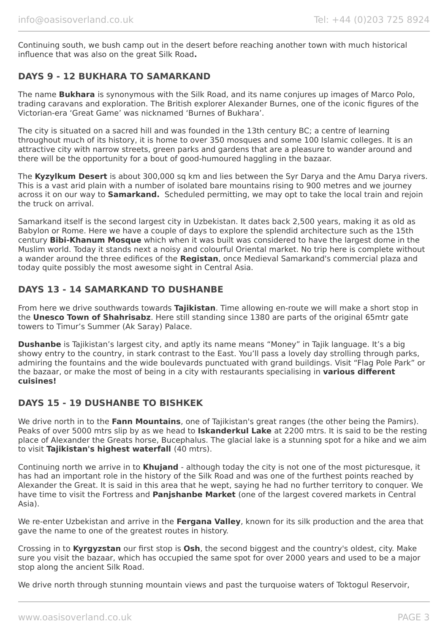Continuing south, we bush camp out in the desert before reaching another town with much historical influence that was also on the great Silk Road**.**

# **DAYS 9 - 12 BUKHARA TO SAMARKAND**

The name **Bukhara** is synonymous with the Silk Road, and its name conjures up images of Marco Polo, trading caravans and exploration. The British explorer Alexander Burnes, one of the iconic figures of the Victorian-era 'Great Game' was nicknamed 'Burnes of Bukhara'.

The city is situated on a sacred hill and was founded in the 13th century BC; a centre of learning throughout much of its history, it is home to over 350 mosques and some 100 Islamic colleges. It is an attractive city with narrow streets, green parks and gardens that are a pleasure to wander around and there will be the opportunity for a bout of good-humoured haggling in the bazaar.

The **Kyzylkum Desert** is about 300,000 sq km and lies between the Syr Darya and the Amu Darya rivers. This is a vast arid plain with a number of isolated bare mountains rising to 900 metres and we journey across it on our way to **Samarkand.** Scheduled permitting, we may opt to take the local train and rejoin the truck on arrival.

Samarkand itself is the second largest city in Uzbekistan. It dates back 2,500 years, making it as old as Babylon or Rome. Here we have a couple of days to explore the splendid architecture such as the 15th century **Bibi-Khanum Mosque** which when it was built was considered to have the largest dome in the Muslim world. Today it stands next a noisy and colourful Oriental market. No trip here is complete without a wander around the three edifices of the **Registan**, once Medieval Samarkand's commercial plaza and today quite possibly the most awesome sight in Central Asia.

# **DAYS 13 - 14 SAMARKAND TO DUSHANBE**

From here we drive southwards towards **Tajikistan**. Time allowing en-route we will make a short stop in the **Unesco Town of Shahrisabz**. Here still standing since 1380 are parts of the original 65mtr gate towers to Timur's Summer (Ak Saray) Palace.

**Dushanbe** is Tajikistan's largest city, and aptly its name means "Money" in Tajik language. It's a big showy entry to the country, in stark contrast to the East. You'll pass a lovely day strolling through parks, admiring the fountains and the wide boulevards punctuated with grand buildings. Visit "Flag Pole Park" or the bazaar, or make the most of being in a city with restaurants specialising in **various different cuisines!**

# **DAYS 15 - 19 DUSHANBE TO BISHKEK**

We drive north in to the **Fann Mountains**, one of Tajikistan's great ranges (the other being the Pamirs). Peaks of over 5000 mtrs slip by as we head to **Iskanderkul Lake** at 2200 mtrs. It is said to be the resting place of Alexander the Greats horse, Bucephalus. The glacial lake is a stunning spot for a hike and we aim to visit **Tajikistan's highest waterfall** (40 mtrs).

Continuing north we arrive in to **Khujand** - although today the city is not one of the most picturesque, it has had an important role in the history of the Silk Road and was one of the furthest points reached by Alexander the Great. It is said in this area that he wept, saying he had no further territory to conquer. We have time to visit the Fortress and **Panjshanbe Market** (one of the largest covered markets in Central Asia).

We re-enter Uzbekistan and arrive in the **Fergana Valley**, known for its silk production and the area that gave the name to one of the greatest routes in history.

Crossing in to **Kyrgyzstan** our first stop is **Osh**, the second biggest and the country's oldest, city. Make sure you visit the bazaar, which has occupied the same spot for over 2000 years and used to be a major stop along the ancient Silk Road.

We drive north through stunning mountain views and past the turguoise waters of Toktogul Reservoir,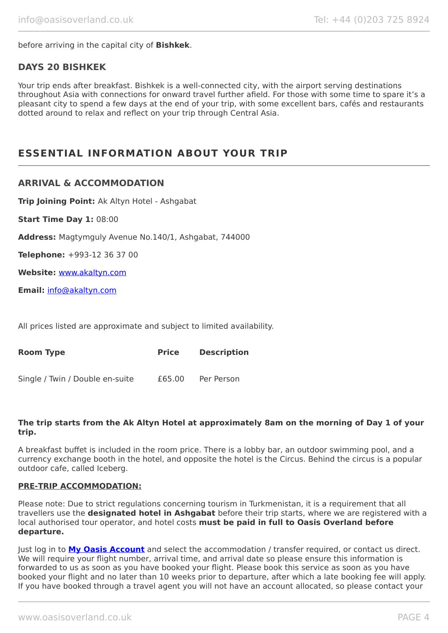before arriving in the capital city of **Bishkek**.

# **DAYS 20 BISHKEK**

Your trip ends after breakfast. Bishkek is a well-connected city, with the airport serving destinations throughout Asia with connections for onward travel further afield. For those with some time to spare it's a pleasant city to spend a few days at the end of your trip, with some excellent bars, cafés and restaurants dotted around to relax and reflect on your trip through Central Asia.

# **ESSENTIAL INFORMATION ABOUT YOUR TRIP**

### **ARRIVAL & ACCOMMODATION**

**Trip Joining Point:** Ak Altyn Hotel - Ashgabat

**Start Time Day 1:** 08:00

**Address:** Magtymguly Avenue No.140/1, Ashgabat, 744000

**Telephone:** +993-12 36 37 00

**Website:** [www.akaltyn.com](http://www.akaltyn.com/)

**Email:** [info@akaltyn.com](mailto:info@akaltyn.com)

All prices listed are approximate and subject to limited availability.

| Room Type                       | <b>Price</b> | <b>Description</b> |
|---------------------------------|--------------|--------------------|
| Single / Twin / Double en-suite | £65.00       | Per Person         |

#### **The trip starts from the Ak Altyn Hotel at approximately 8am on the morning of Day 1 of your trip.**

A breakfast buffet is included in the room price. There is a lobby bar, an outdoor swimming pool, and a currency exchange booth in the hotel, and opposite the hotel is the Circus. Behind the circus is a popular outdoor cafe, called Iceberg.

#### **PRE-TRIP ACCOMMODATION:**

Please note: Due to strict regulations concerning tourism in Turkmenistan, it is a requirement that all travellers use the **designated hotel in Ashgabat** before their trip starts, where we are registered with a local authorised tour operator, and hotel costs **must be paid in full to Oasis Overland before departure.**

Just log in to **[My Oasis Account](https://oasisportal.eecsoftware.com/login.php)** and select the accommodation / transfer required, or contact us direct. We will require your flight number, arrival time, and arrival date so please ensure this information is forwarded to us as soon as you have booked your flight. Please book this service as soon as you have booked your flight and no later than 10 weeks prior to departure, after which a late booking fee will apply. If you have booked through a travel agent you will not have an account allocated, so please contact your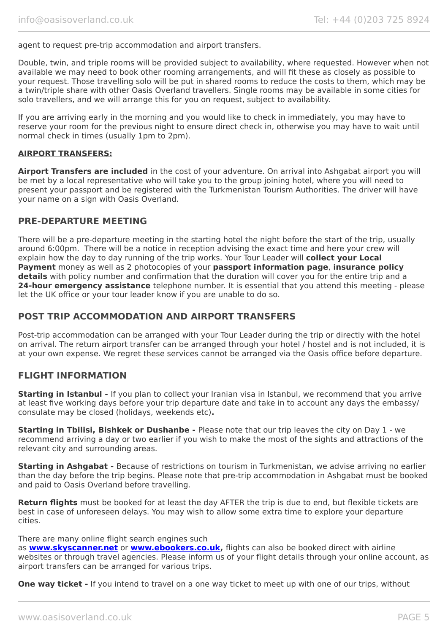agent to request pre-trip accommodation and airport transfers.

Double, twin, and triple rooms will be provided subject to availability, where requested. However when not available we may need to book other rooming arrangements, and will fit these as closely as possible to your request. Those travelling solo will be put in shared rooms to reduce the costs to them, which may be a twin/triple share with other Oasis Overland travellers. Single rooms may be available in some cities for solo travellers, and we will arrange this for you on request, subject to availability.

If you are arriving early in the morning and you would like to check in immediately, you may have to reserve your room for the previous night to ensure direct check in, otherwise you may have to wait until normal check in times (usually 1pm to 2pm).

#### **AIRPORT TRANSFERS:**

**Airport Transfers are included** in the cost of your adventure. On arrival into Ashgabat airport you will be met by a local representative who will take you to the group joining hotel, where you will need to present your passport and be registered with the Turkmenistan Tourism Authorities. The driver will have your name on a sign with Oasis Overland.

### **PRE-DEPARTURE MEETING**

There will be a pre-departure meeting in the starting hotel the night before the start of the trip, usually around 6:00pm. There will be a notice in reception advising the exact time and here your crew will explain how the day to day running of the trip works. Your Tour Leader will **collect your Local Payment** money as well as 2 photocopies of your **passport information page**, **insurance policy details** with policy number and confirmation that the duration will cover you for the entire trip and a **24-hour emergency assistance** telephone number. It is essential that you attend this meeting - please let the UK office or your tour leader know if you are unable to do so.

### **POST TRIP ACCOMMODATION AND AIRPORT TRANSFERS**

Post-trip accommodation can be arranged with your Tour Leader during the trip or directly with the hotel on arrival. The return airport transfer can be arranged through your hotel / hostel and is not included, it is at your own expense. We regret these services cannot be arranged via the Oasis office before departure.

### **FLIGHT INFORMATION**

**Starting in Istanbul -** If you plan to collect your Iranian visa in Istanbul, we recommend that you arrive at least five working days before your trip departure date and take in to account any days the embassy/ consulate may be closed (holidays, weekends etc)**.**

**Starting in Tbilisi, Bishkek or Dushanbe -** Please note that our trip leaves the city on Day 1 - we recommend arriving a day or two earlier if you wish to make the most of the sights and attractions of the relevant city and surrounding areas.

**Starting in Ashgabat -** Because of restrictions on tourism in Turkmenistan, we advise arriving no earlier than the day before the trip begins. Please note that pre-trip accommodation in Ashgabat must be booked and paid to Oasis Overland before travelling.

**Return flights** must be booked for at least the day AFTER the trip is due to end, but flexible tickets are best in case of unforeseen delays. You may wish to allow some extra time to explore your departure cities.

#### There are many online flight search engines such

as **[www.skyscanner.net](http://www.dpbolvw.net/click-5720161-10639348)** or **[www.ebookers.co.uk,](http://www.ebookers.co.uk/)** flights can also be booked direct with airline websites or through travel agencies. Please inform us of your flight details through your online account, as airport transfers can be arranged for various trips.

**One way ticket** - If you intend to travel on a one way ticket to meet up with one of our trips, without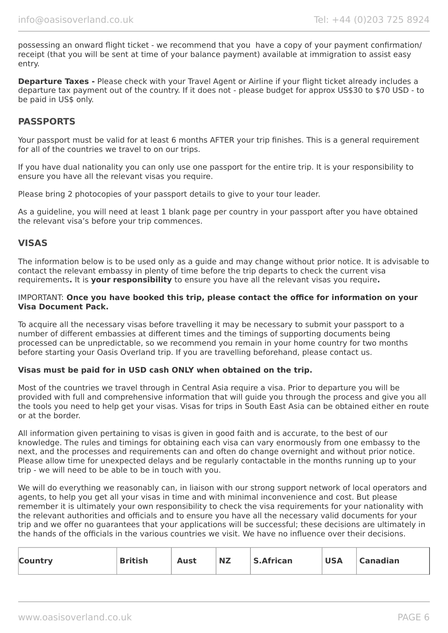possessing an onward flight ticket - we recommend that you have a copy of your payment confirmation/ receipt (that you will be sent at time of your balance payment) available at immigration to assist easy entry.

**Departure Taxes -** Please check with your Travel Agent or Airline if your flight ticket already includes a departure tax payment out of the country. If it does not - please budget for approx US\$30 to \$70 USD - to be paid in US\$ only.

### **PASSPORTS**

Your passport must be valid for at least 6 months AFTER your trip finishes. This is a general requirement for all of the countries we travel to on our trips.

If you have dual nationality you can only use one passport for the entire trip. It is your responsibility to ensure you have all the relevant visas you require.

Please bring 2 photocopies of your passport details to give to your tour leader.

As a guideline, you will need at least 1 blank page per country in your passport after you have obtained the relevant visa's before your trip commences.

## **VISAS**

The information below is to be used only as a guide and may change without prior notice. It is advisable to contact the relevant embassy in plenty of time before the trip departs to check the current visa requirements**.** It is **your responsibility** to ensure you have all the relevant visas you require**.**

#### IMPORTANT: **Once you have booked this trip, please contact the office for information on your Visa Document Pack.**

To acquire all the necessary visas before travelling it may be necessary to submit your passport to a number of different embassies at different times and the timings of supporting documents being processed can be unpredictable, so we recommend you remain in your home country for two months before starting your Oasis Overland trip. If you are travelling beforehand, please contact us.

#### **Visas must be paid for in USD cash ONLY when obtained on the trip.**

Most of the countries we travel through in Central Asia require a visa. Prior to departure you will be provided with full and comprehensive information that will guide you through the process and give you all the tools you need to help get your visas. Visas for trips in South East Asia can be obtained either en route or at the border.

All information given pertaining to visas is given in good faith and is accurate, to the best of our knowledge. The rules and timings for obtaining each visa can vary enormously from one embassy to the next, and the processes and requirements can and often do change overnight and without prior notice. Please allow time for unexpected delays and be regularly contactable in the months running up to your trip - we will need to be able to be in touch with you.

We will do everything we reasonably can, in liaison with our strong support network of local operators and agents, to help you get all your visas in time and with minimal inconvenience and cost. But please remember it is ultimately your own responsibility to check the visa requirements for your nationality with the relevant authorities and officials and to ensure you have all the necessary valid documents for your trip and we offer no guarantees that your applications will be successful; these decisions are ultimately in the hands of the officials in the various countries we visit. We have no influence over their decisions.

| <b>Country</b> | <b>British</b> | Aust | <b>NZ</b> | <b>S.African</b> | <b>USA</b> | <sup>1</sup> Canadian |
|----------------|----------------|------|-----------|------------------|------------|-----------------------|
|                |                |      |           |                  |            |                       |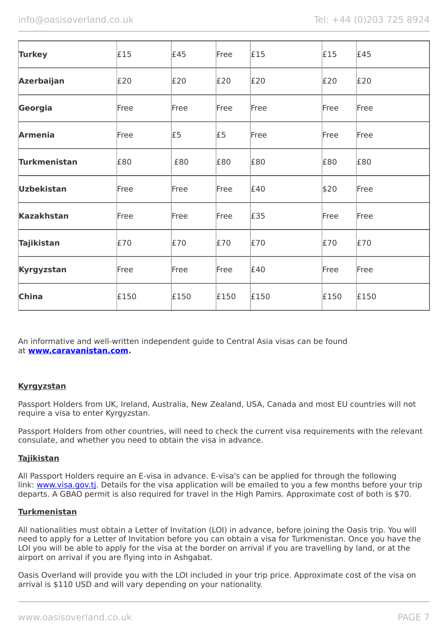| <b>Turkey</b>       | £15  | £45  | Free | £15  | £15  | £45  |
|---------------------|------|------|------|------|------|------|
| <b>Azerbaijan</b>   | £20  | E20  | E20  | £20  | E20  | E20  |
| Georgia             | Free | Free | Free | Free | Free | Free |
| <b>Armenia</b>      | Free | £5   | £5   | Free | Free | Free |
| <b>Turkmenistan</b> | £80  | £80  | £80  | £80  | £80  | £80  |
| <b>Uzbekistan</b>   | Free | Free | Free | £40  | \$20 | Free |
| <b>Kazakhstan</b>   | Free | Free | Free | £35  | Free | Free |
| <b>Tajikistan</b>   | £70  | £70  | £70  | £70  | £70  | £70  |
| Kyrgyzstan          | Free | Free | Free | £40  | Free | Free |
| <b>China</b>        | £150 | £150 | £150 | £150 | £150 | £150 |

An informative and well-written independent guide to Central Asia visas can be found at **[www.caravanistan.com.](http://www.caravanistan.com/)**

### **Kyrgyzstan**

Passport Holders from UK, Ireland, Australia, New Zealand, USA, Canada and most EU countries will not require a visa to enter Kyrgyzstan.

Passport Holders from other countries, will need to check the current visa requirements with the relevant consulate, and whether you need to obtain the visa in advance.

#### **Tajikistan**

All Passport Holders require an E-visa in advance. E-visa's can be applied for through the following link: www.visa.gov.ti. Details for the visa application will be emailed to you a few months before your trip departs. A GBAO permit is also required for travel in the High Pamirs. Approximate cost of both is \$70.

#### **Turkmenistan**

All nationalities must obtain a Letter of Invitation (LOI) in advance, before joining the Oasis trip. You will need to apply for a Letter of Invitation before you can obtain a visa for Turkmenistan. Once you have the LOI you will be able to apply for the visa at the border on arrival if you are travelling by land, or at the airport on arrival if you are flying into in Ashgabat.

Oasis Overland will provide you with the LOI included in your trip price. Approximate cost of the visa on arrival is \$110 USD and will vary depending on your nationality.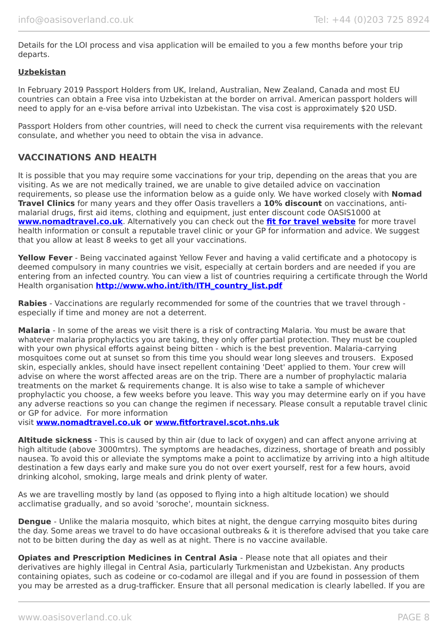Details for the LOI process and visa application will be emailed to you a few months before your trip departs.

#### **Uzbekistan**

In February 2019 Passport Holders from UK, Ireland, Australian, New Zealand, Canada and most EU countries can obtain a Free visa into Uzbekistan at the border on arrival. American passport holders will need to apply for an e-visa before arrival into Uzbekistan. The visa cost is approximately \$20 USD.

Passport Holders from other countries, will need to check the current visa requirements with the relevant consulate, and whether you need to obtain the visa in advance.

# **VACCINATIONS AND HEALTH**

It is possible that you may require some vaccinations for your trip, depending on the areas that you are visiting. As we are not medically trained, we are unable to give detailed advice on vaccination requirements, so please use the information below as a guide only. We have worked closely with **Nomad Travel Clinics** for many years and they offer Oasis travellers a **10% discount** on vaccinations, antimalarial drugs, first aid items, clothing and equipment, just enter discount code OASIS1000 at **[www.nomadtravel.co.uk](http://www.nomadtravel.co.uk/)**. Alternatively you can check out the **[fit for travel website](http://www.fitfortravel.scot.nhs.uk/home.aspx)** for more travel health information or consult a reputable travel clinic or your GP for information and advice. We suggest that you allow at least 8 weeks to get all your vaccinations.

**Yellow Fever** - Being vaccinated against Yellow Fever and having a valid certificate and a photocopy is deemed compulsory in many countries we visit, especially at certain borders and are needed if you are entering from an infected country. You can view a list of countries requiring a certificate through the World Health organisation **[http://www.who.int/ith/ITH\\_country\\_list.pdf](http://www.who.int/ith/ITH_country_list.pdf)** 

**Rabies** - Vaccinations are regularly recommended for some of the countries that we travel through especially if time and money are not a deterrent.

**Malaria** - In some of the areas we visit there is a risk of contracting Malaria. You must be aware that whatever malaria prophylactics you are taking, they only offer partial protection. They must be coupled with your own physical efforts against being bitten - which is the best prevention. Malaria-carrying mosquitoes come out at sunset so from this time you should wear long sleeves and trousers. Exposed skin, especially ankles, should have insect repellent containing 'Deet' applied to them. Your crew will advise on where the worst affected areas are on the trip. There are a number of prophylactic malaria treatments on the market & requirements change. It is also wise to take a sample of whichever prophylactic you choose, a few weeks before you leave. This way you may determine early on if you have any adverse reactions so you can change the regimen if necessary. Please consult a reputable travel clinic or GP for advice. For more information

visit **[www.nomadtravel.co.uk](https://www.nomadtravel.co.uk/) or [www.fitfortravel.scot.nhs.uk](http://www.fitfortravel.scot.nhs.uk/)**

**Altitude sickness** - This is caused by thin air (due to lack of oxygen) and can affect anyone arriving at high altitude (above 3000mtrs). The symptoms are headaches, dizziness, shortage of breath and possibly nausea. To avoid this or alleviate the symptoms make a point to acclimatize by arriving into a high altitude destination a few days early and make sure you do not over exert yourself, rest for a few hours, avoid drinking alcohol, smoking, large meals and drink plenty of water.

As we are travelling mostly by land (as opposed to flying into a high altitude location) we should acclimatise gradually, and so avoid 'soroche', mountain sickness.

**Dengue** - Unlike the malaria mosquito, which bites at night, the dengue carrying mosquito bites during the day. Some areas we travel to do have occasional outbreaks & it is therefore advised that you take care not to be bitten during the day as well as at night. There is no vaccine available.

**Opiates and Prescription Medicines in Central Asia - Please note that all opiates and their** derivatives are highly illegal in Central Asia, particularly Turkmenistan and Uzbekistan. Any products containing opiates, such as codeine or co-codamol are illegal and if you are found in possession of them you may be arrested as a drug-trafficker. Ensure that all personal medication is clearly labelled. If you are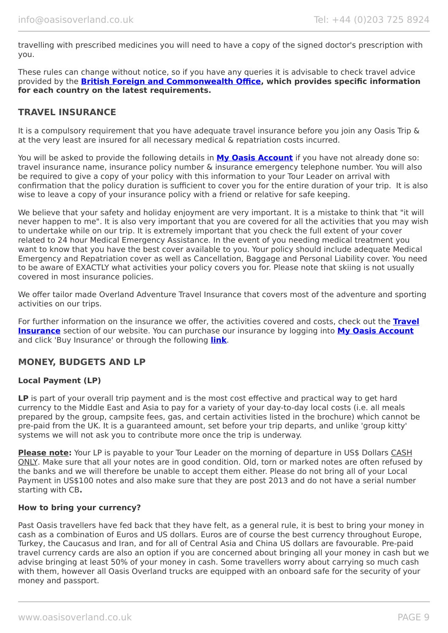travelling with prescribed medicines you will need to have a copy of the signed doctor's prescription with you.

These rules can change without notice, so if you have any queries it is advisable to check travel advice provided by the **[British Foreign and Commonwealth Office,](https://www.gov.uk/foreign-travel-advice/uzbekistan/entry-requirements) which provides specific information for each country on the latest requirements.**

### **TRAVEL INSURANCE**

It is a compulsory requirement that you have adequate travel insurance before you join any Oasis Trip & at the very least are insured for all necessary medical & repatriation costs incurred.

You will be asked to provide the following details in **My [Oasis Account](https://oasisportal.eecsoftware.com/)** if you have not already done so: travel insurance name, insurance policy number & insurance emergency telephone number. You will also be required to give a copy of your policy with this information to your Tour Leader on arrival with confirmation that the policy duration is sufficient to cover you for the entire duration of your trip. It is also wise to leave a copy of your insurance policy with a friend or relative for safe keeping.

We believe that your safety and holiday enjoyment are very important. It is a mistake to think that "it will never happen to me". It is also very important that you are covered for all the activities that you may wish to undertake while on our trip. It is extremely important that you check the full extent of your cover related to 24 hour Medical Emergency Assistance. In the event of you needing medical treatment you want to know that you have the best cover available to you. Your policy should include adequate Medical Emergency and Repatriation cover as well as Cancellation, Baggage and Personal Liability cover. You need to be aware of EXACTLY what activities your policy covers you for. Please note that skiing is not usually covered in most insurance policies.

We offer tailor made Overland Adventure Travel Insurance that covers most of the adventure and sporting activities on our trips.

For further information on the insurance we offer, the activities covered and costs, check out the **[Travel](https://www.oasisoverland.co.uk/travel-insurance) [Insurance](https://www.oasisoverland.co.uk/travel-insurance)** section of our website. You can purchase our insurance by logging into **[My Oasis Account](https://oasisportal.eecsoftware.com/)** and click 'Buy Insurance' or through the following **[link](https://www.campbellirvinedirect.com/oasisoverland/)**.

# **MONEY, BUDGETS AND LP**

#### **Local Payment (LP)**

LP is part of your overall trip payment and is the most cost effective and practical way to get hard currency to the Middle East and Asia to pay for a variety of your day-to-day local costs (i.e. all meals prepared by the group, campsite fees, gas, and certain activities listed in the brochure) which cannot be pre-paid from the UK. It is a guaranteed amount, set before your trip departs, and unlike 'group kitty' systems we will not ask you to contribute more once the trip is underway.

**Please note:** Your LP is payable to your Tour Leader on the morning of departure in US\$ Dollars CASH ONLY. Make sure that all your notes are in good condition. Old, torn or marked notes are often refused by the banks and we will therefore be unable to accept them either. Please do not bring all of your Local Payment in US\$100 notes and also make sure that they are post 2013 and do not have a serial number starting with CB**.**

#### **How to bring your currency?**

Past Oasis travellers have fed back that they have felt, as a general rule, it is best to bring your money in cash as a combination of Euros and US dollars. Euros are of course the best currency throughout Europe, Turkey, the Caucasus and Iran, and for all of Central Asia and China US dollars are favourable. Pre-paid travel currency cards are also an option if you are concerned about bringing all your money in cash but we advise bringing at least 50% of your money in cash. Some travellers worry about carrying so much cash with them, however all Oasis Overland trucks are equipped with an onboard safe for the security of your money and passport.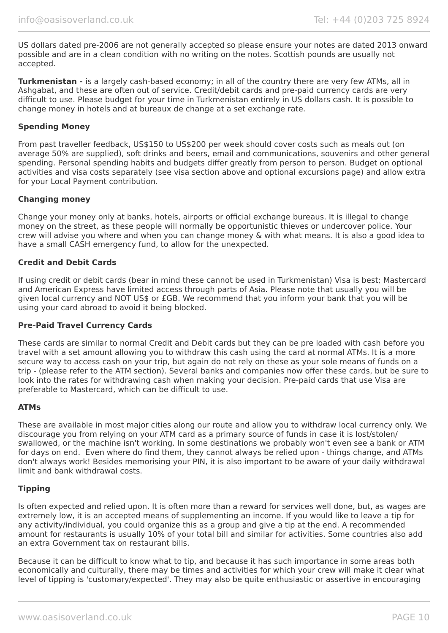US dollars dated pre-2006 are not generally accepted so please ensure your notes are dated 2013 onward possible and are in a clean condition with no writing on the notes. Scottish pounds are usually not accepted.

**Turkmenistan -** is a largely cash-based economy; in all of the country there are very few ATMs, all in Ashgabat, and these are often out of service. Credit/debit cards and pre-paid currency cards are very difficult to use. Please budget for your time in Turkmenistan entirely in US dollars cash. It is possible to change money in hotels and at bureaux de change at a set exchange rate.

#### **Spending Money**

From past traveller feedback, US\$150 to US\$200 per week should cover costs such as meals out (on average 50% are supplied), soft drinks and beers, email and communications, souvenirs and other general spending. Personal spending habits and budgets differ greatly from person to person. Budget on optional activities and visa costs separately (see visa section above and optional excursions page) and allow extra for your Local Payment contribution.

#### **Changing money**

Change your money only at banks, hotels, airports or official exchange bureaus. It is illegal to change money on the street, as these people will normally be opportunistic thieves or undercover police. Your crew will advise you where and when you can change money & with what means. It is also a good idea to have a small CASH emergency fund, to allow for the unexpected.

#### **Credit and Debit Cards**

If using credit or debit cards (bear in mind these cannot be used in Turkmenistan) Visa is best; Mastercard and American Express have limited access through parts of Asia. Please note that usually you will be given local currency and NOT US\$ or £GB. We recommend that you inform your bank that you will be using your card abroad to avoid it being blocked.

#### **Pre-Paid Travel Currency Cards**

These cards are similar to normal Credit and Debit cards but they can be pre loaded with cash before you travel with a set amount allowing you to withdraw this cash using the card at normal ATMs. It is a more secure way to access cash on your trip, but again do not rely on these as your sole means of funds on a trip - (please refer to the ATM section). Several banks and companies now offer these cards, but be sure to look into the rates for withdrawing cash when making your decision. Pre-paid cards that use Visa are preferable to Mastercard, which can be difficult to use.

#### **ATMs**

These are available in most major cities along our route and allow you to withdraw local currency only. We discourage you from relying on your ATM card as a primary source of funds in case it is lost/stolen/ swallowed, or the machine isn't working. In some destinations we probably won't even see a bank or ATM for days on end. Even where do find them, they cannot always be relied upon - things change, and ATMs don't always work! Besides memorising your PIN, it is also important to be aware of your daily withdrawal limit and bank withdrawal costs.

#### **Tipping**

Is often expected and relied upon. It is often more than a reward for services well done, but, as wages are extremely low, it is an accepted means of supplementing an income. If you would like to leave a tip for any activity/individual, you could organize this as a group and give a tip at the end. A recommended amount for restaurants is usually 10% of your total bill and similar for activities. Some countries also add an extra Government tax on restaurant bills.

Because it can be difficult to know what to tip, and because it has such importance in some areas both economically and culturally, there may be times and activities for which your crew will make it clear what level of tipping is 'customary/expected'. They may also be quite enthusiastic or assertive in encouraging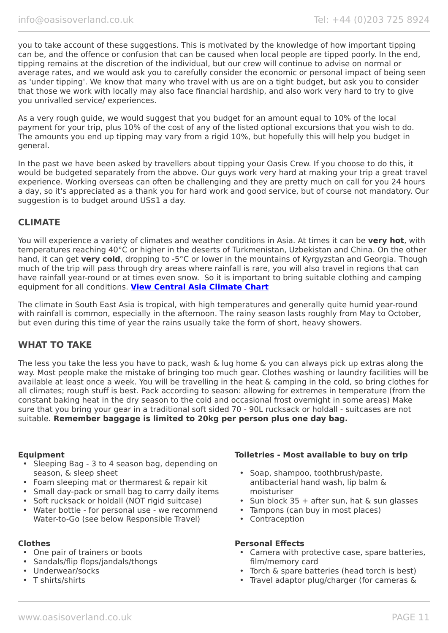you to take account of these suggestions. This is motivated by the knowledge of how important tipping can be, and the offence or confusion that can be caused when local people are tipped poorly. In the end, tipping remains at the discretion of the individual, but our crew will continue to advise on normal or average rates, and we would ask you to carefully consider the economic or personal impact of being seen as 'under tipping'. We know that many who travel with us are on a tight budget, but ask you to consider that those we work with locally may also face financial hardship, and also work very hard to try to give you unrivalled service/ experiences.

As a very rough guide, we would suggest that you budget for an amount equal to 10% of the local payment for your trip, plus 10% of the cost of any of the listed optional excursions that you wish to do. The amounts you end up tipping may vary from a rigid 10%, but hopefully this will help you budget in general.

In the past we have been asked by travellers about tipping your Oasis Crew. If you choose to do this, it would be budgeted separately from the above. Our guys work very hard at making your trip a great travel experience. Working overseas can often be challenging and they are pretty much on call for you 24 hours a day, so it's appreciated as a thank you for hard work and good service, but of course not mandatory. Our suggestion is to budget around US\$1 a day.

# **CLIMATE**

You will experience a variety of climates and weather conditions in Asia. At times it can be **very hot**, with temperatures reaching 40°C or higher in the deserts of Turkmenistan, Uzbekistan and China. On the other hand, it can get **very cold**, dropping to -5°C or lower in the mountains of Kyrgyzstan and Georgia. Though much of the trip will pass through dry areas where rainfall is rare, you will also travel in regions that can have rainfall year-round or at times even snow. So it is important to bring suitable clothing and camping equipment for all conditions. **[View Central Asia Climate Chart](https://www.oasisoverland.co.uk/central-asia-climate-chart)**

The climate in South East Asia is tropical, with high temperatures and generally quite humid year-round with rainfall is common, especially in the afternoon. The rainy season lasts roughly from May to October, but even during this time of year the rains usually take the form of short, heavy showers.

# **WHAT TO TAKE**

The less you take the less you have to pack, wash & lug home & you can always pick up extras along the way. Most people make the mistake of bringing too much gear. Clothes washing or laundry facilities will be available at least once a week. You will be travelling in the heat & camping in the cold, so bring clothes for all climates; rough stuff is best. Pack according to season: allowing for extremes in temperature (from the constant baking heat in the dry season to the cold and occasional frost overnight in some areas) Make sure that you bring your gear in a traditional soft sided 70 - 90L rucksack or holdall - suitcases are not suitable. **Remember baggage is limited to 20kg per person plus one day bag.**

- Sleeping Bag 3 to 4 season bag, depending on season, & sleep sheet
- Foam sleeping mat or thermarest & repair kit
- Small day-pack or small bag to carry daily items
- Soft rucksack or holdall (NOT rigid suitcase)
- Water bottle for personal use we recommend Water-to-Go (see below Responsible Travel)

- One pair of trainers or boots
- Sandals/flip flops/jandals/thongs
- Underwear/socks
- T shirts/shirts

#### **Equipment Toiletries - Most available to buy on trip**

- Soap, shampoo, toothbrush/paste, antibacterial hand wash, lip balm & moisturiser
- Sun block 35 + after sun, hat & sun glasses
- Tampons (can buy in most places)
- Contraception

#### **Clothes Personal Effects**

- Camera with protective case, spare batteries, film/memory card
- Torch & spare batteries (head torch is best)
- Travel adaptor plug/charger (for cameras &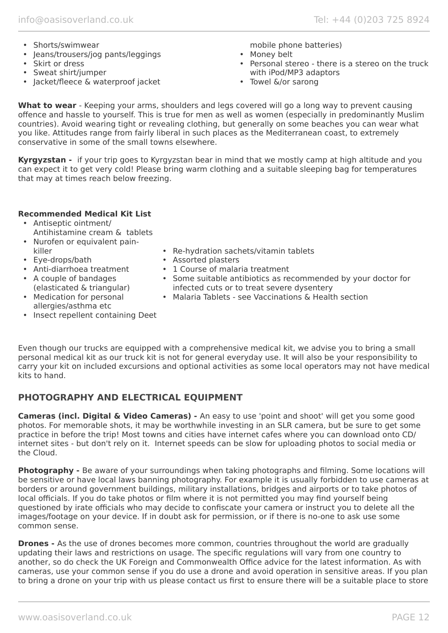- Shorts/swimwear
- Jeans/trousers/jog pants/leggings
- Skirt or dress
- Sweat shirt/jumper
- Jacket/fleece & waterproof jacket

mobile phone batteries)

- Money belt
- Personal stereo there is a stereo on the truck with iPod/MP3 adaptors
- Towel &/or sarong

**What to wear** - Keeping your arms, shoulders and legs covered will go a long way to prevent causing offence and hassle to yourself. This is true for men as well as women (especially in predominantly Muslim countries). Avoid wearing tight or revealing clothing, but generally on some beaches you can wear what you like. Attitudes range from fairly liberal in such places as the Mediterranean coast, to extremely conservative in some of the small towns elsewhere.

**Kyrgyzstan -** if your trip goes to Kyrgyzstan bear in mind that we mostly camp at high altitude and you can expect it to get very cold! Please bring warm clothing and a suitable sleeping bag for temperatures that may at times reach below freezing.

# **Recommended Medical Kit List**

- Antiseptic ointment/ Antihistamine cream & tablets
- Nurofen or equivalent painkiller
- Eye-drops/bath
- Anti-diarrhoea treatment
- A couple of bandages
- (elasticated & triangular) • Medication for personal allergies/asthma etc
- Re-hydration sachets/vitamin tablets
- Assorted plasters
- 1 Course of malaria treatment
- Some suitable antibiotics as recommended by your doctor for infected cuts or to treat severe dysentery
- Malaria Tablets see Vaccinations & Health section
- Insect repellent containing Deet

Even though our trucks are equipped with a comprehensive medical kit, we advise you to bring a small personal medical kit as our truck kit is not for general everyday use. It will also be your responsibility to carry your kit on included excursions and optional activities as some local operators may not have medical kits to hand.

# **PHOTOGRAPHY AND ELECTRICAL EQUIPMENT**

**Cameras (incl. Digital & Video Cameras) -** An easy to use 'point and shoot' will get you some good photos. For memorable shots, it may be worthwhile investing in an SLR camera, but be sure to get some practice in before the trip! Most towns and cities have internet cafes where you can download onto CD/ internet sites - but don't rely on it. Internet speeds can be slow for uploading photos to social media or the Cloud.

**Photography -** Be aware of your surroundings when taking photographs and filming. Some locations will be sensitive or have local laws banning photography. For example it is usually forbidden to use cameras at borders or around government buildings, military installations, bridges and airports or to take photos of local officials. If you do take photos or film where it is not permitted you may find yourself being questioned by irate officials who may decide to confiscate your camera or instruct you to delete all the images/footage on your device. If in doubt ask for permission, or if there is no-one to ask use some common sense.

**Drones -** As the use of drones becomes more common, countries throughout the world are gradually updating their laws and restrictions on usage. The specific regulations will vary from one country to another, so do check the UK Foreign and Commonwealth Office advice for the latest information. As with cameras, use your common sense if you do use a drone and avoid operation in sensitive areas. If you plan to bring a drone on your trip with us please contact us first to ensure there will be a suitable place to store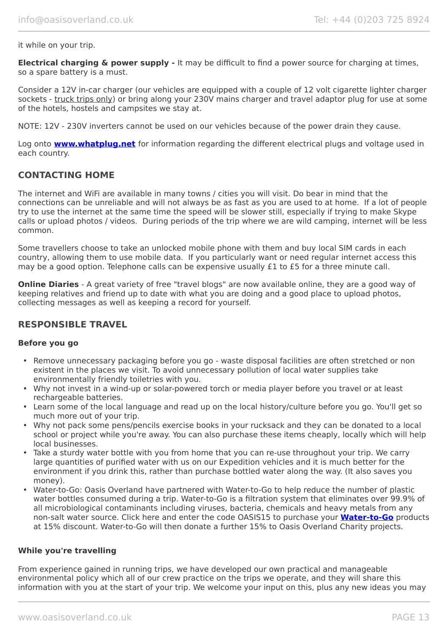it while on your trip.

**Electrical charging & power supply -** It may be difficult to find a power source for charging at times, so a spare battery is a must.

Consider a 12V in-car charger (our vehicles are equipped with a couple of 12 volt cigarette lighter charger sockets - truck trips only) or bring along your 230V mains charger and travel adaptor plug for use at some of the hotels, hostels and campsites we stay at.

NOTE: 12V - 230V inverters cannot be used on our vehicles because of the power drain they cause.

Log onto **[www.whatplug.net](http://www.whatplug.net/)** for information regarding the different electrical plugs and voltage used in each country.

### **CONTACTING HOME**

The internet and WiFi are available in many towns / cities you will visit. Do bear in mind that the connections can be unreliable and will not always be as fast as you are used to at home. If a lot of people try to use the internet at the same time the speed will be slower still, especially if trying to make Skype calls or upload photos / videos. During periods of the trip where we are wild camping, internet will be less common.

Some travellers choose to take an unlocked mobile phone with them and buy local SIM cards in each country, allowing them to use mobile data. If you particularly want or need regular internet access this may be a good option. Telephone calls can be expensive usually £1 to £5 for a three minute call.

**Online Diaries** - A great variety of free "travel blogs" are now available online, they are a good way of keeping relatives and friend up to date with what you are doing and a good place to upload photos, collecting messages as well as keeping a record for yourself.

### **RESPONSIBLE TRAVEL**

#### **Before you go**

- Remove unnecessary packaging before you go waste disposal facilities are often stretched or non existent in the places we visit. To avoid unnecessary pollution of local water supplies take environmentally friendly toiletries with you.
- Why not invest in a wind-up or solar-powered torch or media player before you travel or at least rechargeable batteries.
- Learn some of the local language and read up on the local history/culture before you go. You'll get so much more out of your trip.
- Why not pack some pens/pencils exercise books in your rucksack and they can be donated to a local school or project while you're away. You can also purchase these items cheaply, locally which will help local businesses.
- Take a sturdy water bottle with you from home that you can re-use throughout your trip. We carry large quantities of purified water with us on our Expedition vehicles and it is much better for the environment if you drink this, rather than purchase bottled water along the way. (It also saves you money).
- Water-to-Go: Oasis Overland have partnered with Water-to-Go to help reduce the number of plastic water bottles consumed during a trip. Water-to-Go is a filtration system that eliminates over 99.9% of all microbiological contaminants including viruses, bacteria, chemicals and heavy metals from any non-salt water source. Click here and enter the code OASIS15 to purchase your **[Water-to-Go](https://watertogo.eu/partnerships/oasisoverland/)** products at 15% discount. Water-to-Go will then donate a further 15% to Oasis Overland Charity projects.

#### **While you're travelling**

From experience gained in running trips, we have developed our own practical and manageable environmental policy which all of our crew practice on the trips we operate, and they will share this information with you at the start of your trip. We welcome your input on this, plus any new ideas you may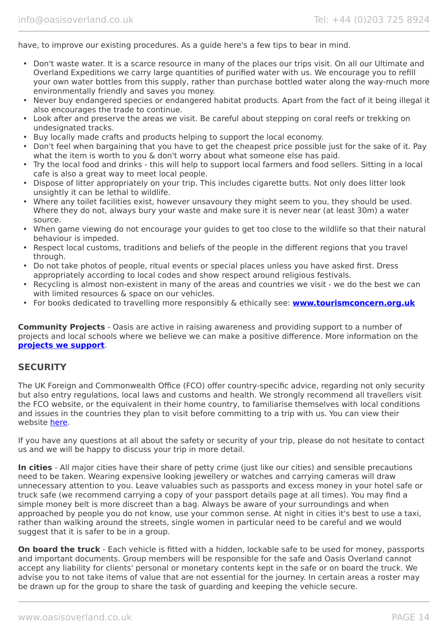have, to improve our existing procedures. As a guide here's a few tips to bear in mind.

- Don't waste water. It is a scarce resource in many of the places our trips visit. On all our Ultimate and Overland Expeditions we carry large quantities of purified water with us. We encourage you to refill your own water bottles from this supply, rather than purchase bottled water along the way-much more environmentally friendly and saves you money.
- Never buy endangered species or endangered habitat products. Apart from the fact of it being illegal it also encourages the trade to continue.
- Look after and preserve the areas we visit. Be careful about stepping on coral reefs or trekking on undesignated tracks.
- Buy locally made crafts and products helping to support the local economy.
- Don't feel when bargaining that you have to get the cheapest price possible just for the sake of it. Pay what the item is worth to you & don't worry about what someone else has paid.
- Try the local food and drinks this will help to support local farmers and food sellers. Sitting in a local cafe is also a great way to meet local people.
- Dispose of litter appropriately on your trip. This includes cigarette butts. Not only does litter look unsightly it can be lethal to wildlife.
- Where any toilet facilities exist, however unsavoury they might seem to you, they should be used. Where they do not, always bury your waste and make sure it is never near (at least 30m) a water source.
- When game viewing do not encourage your guides to get too close to the wildlife so that their natural behaviour is impeded.
- Respect local customs, traditions and beliefs of the people in the different regions that you travel through.
- Do not take photos of people, ritual events or special places unless you have asked first. Dress appropriately according to local codes and show respect around religious festivals.
- Recycling is almost non-existent in many of the areas and countries we visit we do the best we can with limited resources & space on our vehicles.
- For books dedicated to travelling more responsibly & ethically see: **[www.tourismconcern.org.uk](https://www.tourismconcern.org.uk/)**

**Community Projects** - Oasis are active in raising awareness and providing support to a number of projects and local schools where we believe we can make a positive difference. More information on the **[projects we support](https://www.oasisoverland.co.uk/responsible-travel/charities-we-support)**.

### **SECURITY**

The UK Foreign and Commonwealth Office (FCO) offer country-specific advice, regarding not only security but also entry regulations, local laws and customs and health. We strongly recommend all travellers visit the FCO website, or the equivalent in their home country, to familiarise themselves with local conditions and issues in the countries they plan to visit before committing to a trip with us. You can view their website [here.](https://www.gov.uk/foreign-travel-advice)

If you have any questions at all about the safety or security of your trip, please do not hesitate to contact us and we will be happy to discuss your trip in more detail.

**In cities** - All major cities have their share of petty crime (just like our cities) and sensible precautions need to be taken. Wearing expensive looking jewellery or watches and carrying cameras will draw unnecessary attention to you. Leave valuables such as passports and excess money in your hotel safe or truck safe (we recommend carrying a copy of your passport details page at all times). You may find a simple money belt is more discreet than a bag. Always be aware of your surroundings and when approached by people you do not know, use your common sense. At night in cities it's best to use a taxi, rather than walking around the streets, single women in particular need to be careful and we would suggest that it is safer to be in a group.

**On board the truck** - Each vehicle is fitted with a hidden, lockable safe to be used for money, passports and important documents. Group members will be responsible for the safe and Oasis Overland cannot accept any liability for clients' personal or monetary contents kept in the safe or on board the truck. We advise you to not take items of value that are not essential for the journey. In certain areas a roster may be drawn up for the group to share the task of guarding and keeping the vehicle secure.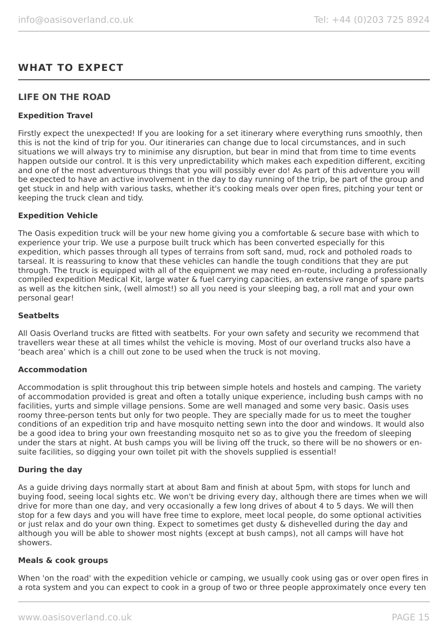# **WHAT TO EXPECT**

# **LIFE ON THE ROAD**

#### **Expedition Travel**

Firstly expect the unexpected! If you are looking for a set itinerary where everything runs smoothly, then this is not the kind of trip for you. Our itineraries can change due to local circumstances, and in such situations we will always try to minimise any disruption, but bear in mind that from time to time events happen outside our control. It is this very unpredictability which makes each expedition different, exciting and one of the most adventurous things that you will possibly ever do! As part of this adventure you will be expected to have an active involvement in the day to day running of the trip, be part of the group and get stuck in and help with various tasks, whether it's cooking meals over open fires, pitching your tent or keeping the truck clean and tidy.

#### **Expedition Vehicle**

The Oasis expedition truck will be your new home giving you a comfortable & secure base with which to experience your trip. We use a purpose built truck which has been converted especially for this expedition, which passes through all types of terrains from soft sand, mud, rock and potholed roads to tarseal. It is reassuring to know that these vehicles can handle the tough conditions that they are put through. The truck is equipped with all of the equipment we may need en-route, including a professionally compiled expedition Medical Kit, large water & fuel carrying capacities, an extensive range of spare parts as well as the kitchen sink, (well almost!) so all you need is your sleeping bag, a roll mat and your own personal gear!

#### **Seatbelts**

All Oasis Overland trucks are fitted with seatbelts. For your own safety and security we recommend that travellers wear these at all times whilst the vehicle is moving. Most of our overland trucks also have a 'beach area' which is a chill out zone to be used when the truck is not moving.

#### **Accommodation**

Accommodation is split throughout this trip between simple hotels and hostels and camping. The variety of accommodation provided is great and often a totally unique experience, including bush camps with no facilities, yurts and simple village pensions. Some are well managed and some very basic. Oasis uses roomy three-person tents but only for two people. They are specially made for us to meet the tougher conditions of an expedition trip and have mosquito netting sewn into the door and windows. It would also be a good idea to bring your own freestanding mosquito net so as to give you the freedom of sleeping under the stars at night. At bush camps you will be living off the truck, so there will be no showers or ensuite facilities, so digging your own toilet pit with the shovels supplied is essential!

#### **During the day**

As a guide driving days normally start at about 8am and finish at about 5pm, with stops for lunch and buying food, seeing local sights etc. We won't be driving every day, although there are times when we will drive for more than one day, and very occasionally a few long drives of about 4 to 5 days. We will then stop for a few days and you will have free time to explore, meet local people, do some optional activities or just relax and do your own thing. Expect to sometimes get dusty & dishevelled during the day and although you will be able to shower most nights (except at bush camps), not all camps will have hot showers.

#### **Meals & cook groups**

When 'on the road' with the expedition vehicle or camping, we usually cook using gas or over open fires in a rota system and you can expect to cook in a group of two or three people approximately once every ten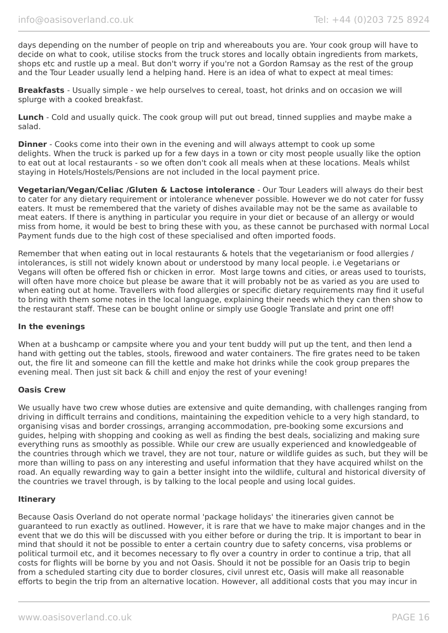days depending on the number of people on trip and whereabouts you are. Your cook group will have to decide on what to cook, utilise stocks from the truck stores and locally obtain ingredients from markets, shops etc and rustle up a meal. But don't worry if you're not a Gordon Ramsay as the rest of the group and the Tour Leader usually lend a helping hand. Here is an idea of what to expect at meal times:

**Breakfasts** - Usually simple - we help ourselves to cereal, toast, hot drinks and on occasion we will splurge with a cooked breakfast.

**Lunch** - Cold and usually quick. The cook group will put out bread, tinned supplies and maybe make a salad.

**Dinner** - Cooks come into their own in the evening and will always attempt to cook up some delights. When the truck is parked up for a few days in a town or city most people usually like the option to eat out at local restaurants - so we often don't cook all meals when at these locations. Meals whilst staying in Hotels/Hostels/Pensions are not included in the local payment price.

**Vegetarian/Vegan/Celiac /Gluten & Lactose intolerance** - Our Tour Leaders will always do their best to cater for any dietary requirement or intolerance whenever possible. However we do not cater for fussy eaters. It must be remembered that the variety of dishes available may not be the same as available to meat eaters. If there is anything in particular you require in your diet or because of an allergy or would miss from home, it would be best to bring these with you, as these cannot be purchased with normal Local Payment funds due to the high cost of these specialised and often imported foods.

Remember that when eating out in local restaurants & hotels that the vegetarianism or food allergies / intolerances, is still not widely known about or understood by many local people. i.e Vegetarians or Vegans will often be offered fish or chicken in error. Most large towns and cities, or areas used to tourists, will often have more choice but please be aware that it will probably not be as varied as you are used to when eating out at home. Travellers with food allergies or specific dietary requirements may find it useful to bring with them some notes in the local language, explaining their needs which they can then show to the restaurant staff. These can be bought online or simply use Google Translate and print one off!

#### **In the evenings**

When at a bushcamp or campsite where you and your tent buddy will put up the tent, and then lend a hand with getting out the tables, stools, firewood and water containers. The fire grates need to be taken out, the fire lit and someone can fill the kettle and make hot drinks while the cook group prepares the evening meal. Then just sit back & chill and enjoy the rest of your evening!

#### **Oasis Crew**

We usually have two crew whose duties are extensive and quite demanding, with challenges ranging from driving in difficult terrains and conditions, maintaining the expedition vehicle to a very high standard, to organising visas and border crossings, arranging accommodation, pre-booking some excursions and guides, helping with shopping and cooking as well as finding the best deals, socializing and making sure everything runs as smoothly as possible. While our crew are usually experienced and knowledgeable of the countries through which we travel, they are not tour, nature or wildlife guides as such, but they will be more than willing to pass on any interesting and useful information that they have acquired whilst on the road. An equally rewarding way to gain a better insight into the wildlife, cultural and historical diversity of the countries we travel through, is by talking to the local people and using local guides.

#### **Itinerary**

Because Oasis Overland do not operate normal 'package holidays' the itineraries given cannot be guaranteed to run exactly as outlined. However, it is rare that we have to make major changes and in the event that we do this will be discussed with you either before or during the trip. It is important to bear in mind that should it not be possible to enter a certain country due to safety concerns, visa problems or political turmoil etc, and it becomes necessary to fly over a country in order to continue a trip, that all costs for flights will be borne by you and not Oasis. Should it not be possible for an Oasis trip to begin from a scheduled starting city due to border closures, civil unrest etc, Oasis will make all reasonable efforts to begin the trip from an alternative location. However, all additional costs that you may incur in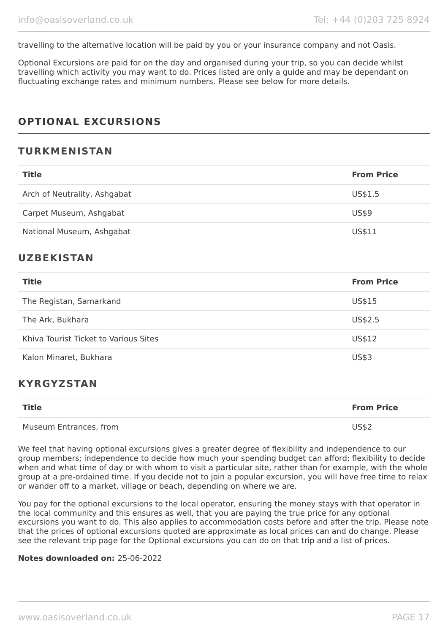travelling to the alternative location will be paid by you or your insurance company and not Oasis.

Optional Excursions are paid for on the day and organised during your trip, so you can decide whilst travelling which activity you may want to do. Prices listed are only a guide and may be dependant on fluctuating exchange rates and minimum numbers. Please see below for more details.

# **OPTIONAL EXCURSIONS**

# **TURKMENISTAN**

| <b>Title</b>                 | <b>From Price</b> |
|------------------------------|-------------------|
| Arch of Neutrality, Ashgabat | US\$1.5           |
| Carpet Museum, Ashgabat      | US\$9             |
| National Museum, Ashgabat    | US\$11            |

# **UZBEKISTAN**

| <b>Title</b>                          | <b>From Price</b> |
|---------------------------------------|-------------------|
| The Registan, Samarkand               | US\$15            |
| The Ark, Bukhara                      | US\$2.5           |
| Khiva Tourist Ticket to Various Sites | US\$12            |
| Kalon Minaret, Bukhara                | <b>US\$3</b>      |

# **KYRGYZSTAN**

| <b>Title</b>           | <b>From Price</b> |
|------------------------|-------------------|
| Museum Entrances, from | <b>US\$2</b>      |

We feel that having optional excursions gives a greater degree of flexibility and independence to our group members; independence to decide how much your spending budget can afford; flexibility to decide when and what time of day or with whom to visit a particular site, rather than for example, with the whole group at a pre-ordained time. If you decide not to join a popular excursion, you will have free time to relax or wander off to a market, village or beach, depending on where we are.

You pay for the optional excursions to the local operator, ensuring the money stays with that operator in the local community and this ensures as well, that you are paying the true price for any optional excursions you want to do. This also applies to accommodation costs before and after the trip. Please note that the prices of optional excursions quoted are approximate as local prices can and do change. Please see the relevant trip page for the Optional excursions you can do on that trip and a list of prices.

#### **Notes downloaded on:** 25-06-2022